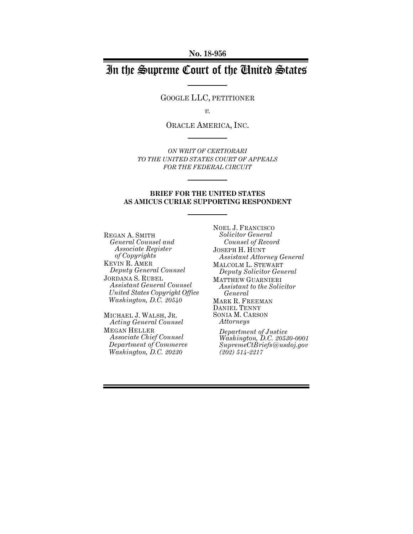# In the Supreme Court of the United States

GOOGLE LLC, PETITIONER

*v.*

ORACLE AMERICA, INC.

*ON WRIT OF CERTIORARI TO THE UNITED STATES COURT OF APPEALS FOR THE FEDERAL CIRCUIT*

### **BRIEF FOR THE UNITED STATES AS AMICUS CURIAE SUPPORTING RESPONDENT**

REGAN A. SMITH *General Counsel and Associate Register of Copyrights* KEVIN R. AMER *Deputy General Counsel* JORDANA S. RUBEL *Assistant General Counsel United States Copyright Office Washington, D.C. 20540*

MICHAEL J. WALSH, JR. *Acting General Counsel* MEGAN HELLER *Associate Chief Counsel Department of Commerce Washington, D.C. 20230*

NOEL J. FRANCISCO *Solicitor General Counsel of Record* JOSEPH H. HUNT *Assistant Attorney General* MALCOLM L. STEWART *Deputy Solicitor General* MATTHEW GUARNIERI *Assistant to the Solicitor General* MARK R. FREEMAN DANIEL TENNY SONIA M. CARSON *Attorneys Department of Justice Washington, D.C. 20530-0001 SupremeCtBriefs@usdoj.gov (202) 514-2217*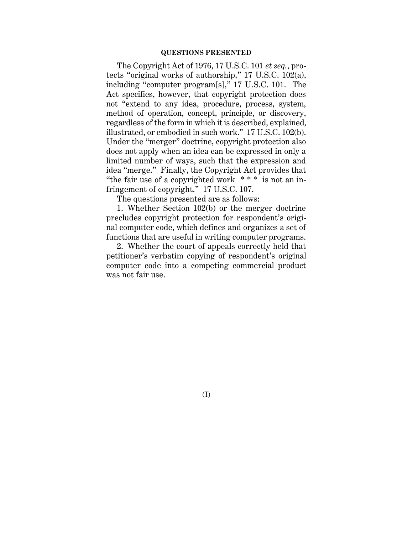### **QUESTIONS PRESENTED**

The Copyright Act of 1976, 17 U.S.C. 101 *et seq.*, protects "original works of authorship," 17 U.S.C. 102(a), including "computer program[s]," 17 U.S.C. 101. The Act specifies, however, that copyright protection does not "extend to any idea, procedure, process, system, method of operation, concept, principle, or discovery, regardless of the form in which it is described, explained, illustrated, or embodied in such work." 17 U.S.C. 102(b). Under the "merger" doctrine, copyright protection also does not apply when an idea can be expressed in only a limited number of ways, such that the expression and idea "merge." Finally, the Copyright Act provides that "the fair use of a copyrighted work  $***$  is not an infringement of copyright." 17 U.S.C. 107.

The questions presented are as follows:

1. Whether Section 102(b) or the merger doctrine precludes copyright protection for respondent's original computer code, which defines and organizes a set of functions that are useful in writing computer programs.

2. Whether the court of appeals correctly held that petitioner's verbatim copying of respondent's original computer code into a competing commercial product was not fair use.

(I)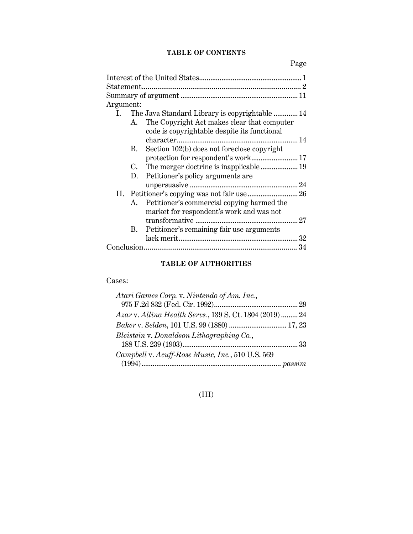## **TABLE OF CONTENTS**

Page

| Argument:                                                                                         |
|---------------------------------------------------------------------------------------------------|
| I. The Java Standard Library is copyrightable  14                                                 |
| The Copyright Act makes clear that computer<br>A.<br>code is copyrightable despite its functional |
|                                                                                                   |
| Section 102(b) does not foreclose copyright<br>B.                                                 |
|                                                                                                   |
| C.                                                                                                |
| Petitioner's policy arguments are<br>D.                                                           |
|                                                                                                   |
| II. Petitioner's copying was not fair use  26                                                     |
| Petitioner's commercial copying harmed the<br>A.                                                  |
| market for respondent's work and was not                                                          |
|                                                                                                   |
| Petitioner's remaining fair use arguments<br>В.                                                   |
|                                                                                                   |
|                                                                                                   |

## **TABLE OF AUTHORITIES**

Cases:

| Atari Games Corp. v. Nintendo of Am. Inc.,               |  |
|----------------------------------------------------------|--|
|                                                          |  |
| Azar v. Allina Health Servs., 139 S. Ct. 1804 (2019)  24 |  |
|                                                          |  |
| Bleistein v. Donaldson Lithographing Co.,                |  |
|                                                          |  |
| Campbell v. Acuff-Rose Music, Inc., 510 U.S. 569         |  |
|                                                          |  |

## (III)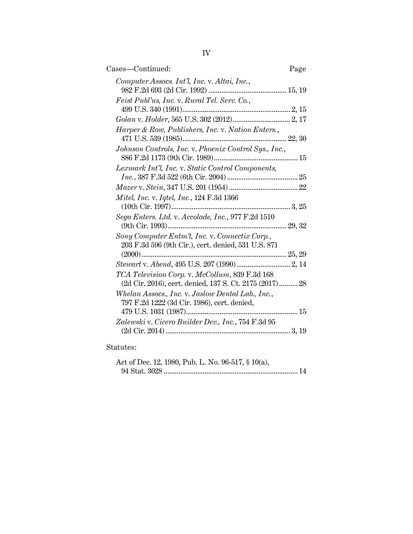| Computer Assocs. Int'l, Inc. v. Altai, Inc.,                                                              |  |
|-----------------------------------------------------------------------------------------------------------|--|
|                                                                                                           |  |
| Feist Publ'ns, Inc. v. Rural Tel. Serv. Co.,                                                              |  |
|                                                                                                           |  |
| Harper & Row, Publishers, Inc. v. Nation Enters.,                                                         |  |
| Johnson Controls, Inc. v. Phoenix Control Sys., Inc.,                                                     |  |
| Lexmark Int'l, Inc. v. Static Control Components,                                                         |  |
|                                                                                                           |  |
| <i>Mitel, Inc. v. Iqtel, Inc., 124 F.3d 1366</i>                                                          |  |
| Sega Enters. Ltd. v. Accolade, Inc., 977 F.2d 1510                                                        |  |
| Sony Computer Entm't, Inc. v. Connectix Corp.,<br>203 F.3d 596 (9th Cir.), cert. denied, 531 U.S. 871     |  |
|                                                                                                           |  |
|                                                                                                           |  |
| TCA Television Corp. v. McCollum, 839 F.3d 168<br>(2d Cir. 2016), cert. denied, 137 S. Ct. 2175 (2017) 28 |  |
| Whelan Assocs., Inc. v. Jaslow Dental Lab., Inc.,<br>797 F.2d 1222 (3d Cir. 1986), cert. denied,          |  |
|                                                                                                           |  |
| Zalewski v. Cicero Builder Dev., Inc., 754 F.3d 95                                                        |  |

## Statutes:

| Act of Dec. 12, 1980, Pub. L. No. 96-517, § 10(a), |  |
|----------------------------------------------------|--|
|                                                    |  |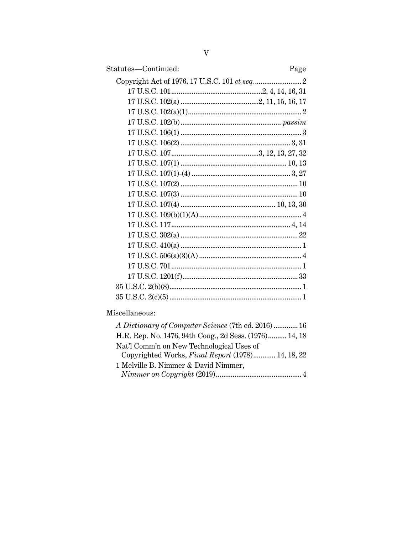| Statutes-Continued: | Page |
|---------------------|------|
|                     |      |
|                     |      |
|                     |      |
|                     |      |
|                     |      |
|                     |      |
|                     |      |
|                     |      |
|                     |      |
|                     |      |
|                     |      |
|                     |      |
|                     |      |
|                     |      |
|                     |      |
|                     |      |
|                     |      |
|                     |      |
|                     |      |
|                     |      |
|                     |      |
|                     |      |

## Miscellaneous:

| A Dictionary of Computer Science (7th ed. 2016) 16     |  |
|--------------------------------------------------------|--|
| H.R. Rep. No. 1476, 94th Cong., 2d Sess. (1976) 14, 18 |  |
| Nat'l Comm'n on New Technological Uses of              |  |
| Copyrighted Works, Final Report (1978) 14, 18, 22      |  |
| 1 Melville B. Nimmer & David Nimmer,                   |  |
|                                                        |  |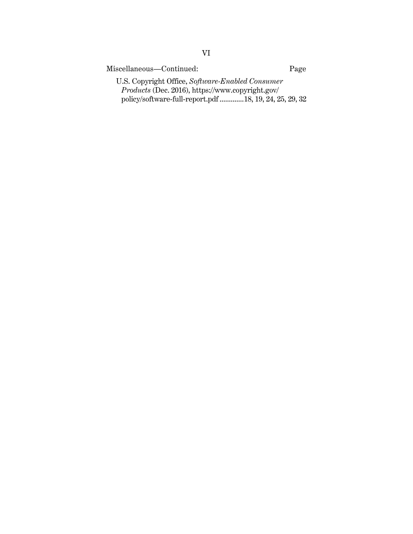| Miscellaneous—Continued:                                | Page |
|---------------------------------------------------------|------|
| U.S. Copyright Office, Software-Enabled Consumer        |      |
| <i>Products</i> (Dec. 2016), https://www.copyright.gov/ |      |
| policy/software-full-report.pdf 18, 19, 24, 25, 29, 32  |      |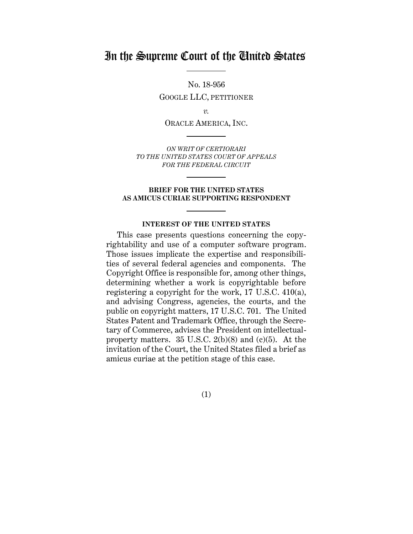# In the Supreme Court of the United States

No. 18-956 GOOGLE LLC, PETITIONER

*v.*

ORACLE AMERICA, INC.

*ON WRIT OF CERTIORARI TO THE UNITED STATES COURT OF APPEALS FOR THE FEDERAL CIRCUIT*

### **BRIEF FOR THE UNITED STATES AS AMICUS CURIAE SUPPORTING RESPONDENT**

### **INTEREST OF THE UNITED STATES**

This case presents questions concerning the copyrightability and use of a computer software program. Those issues implicate the expertise and responsibilities of several federal agencies and components. The Copyright Office is responsible for, among other things, determining whether a work is copyrightable before registering a copyright for the work, 17 U.S.C. 410(a), and advising Congress, agencies, the courts, and the public on copyright matters, 17 U.S.C. 701. The United States Patent and Trademark Office, through the Secretary of Commerce, advises the President on intellectualproperty matters.  $35 \text{ U.S.C. } 2(b)(8)$  and  $(c)(5)$ . At the invitation of the Court, the United States filed a brief as amicus curiae at the petition stage of this case.

(1)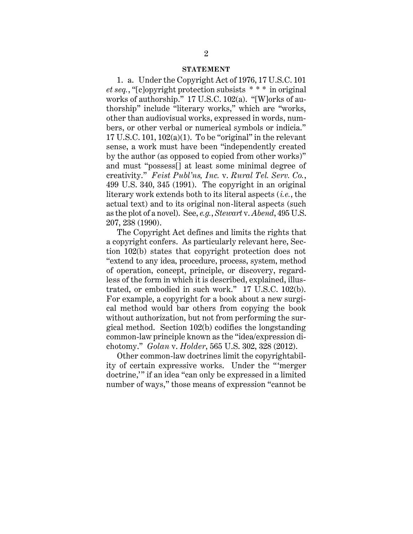#### **STATEMENT**

1. a. Under the Copyright Act of 1976, 17 U.S.C. 101 *et seq.*, "[c]opyright protection subsists \* \* \* in original works of authorship." 17 U.S.C. 102(a). "[W]orks of authorship" include "literary works," which are "works, other than audiovisual works, expressed in words, numbers, or other verbal or numerical symbols or indicia." 17 U.S.C. 101,  $102(a)(1)$ . To be "original" in the relevant sense, a work must have been "independently created by the author (as opposed to copied from other works)" and must "possess[] at least some minimal degree of creativity." *Feist Publ'ns, Inc.* v. *Rural Tel. Serv. Co.*, 499 U.S. 340, 345 (1991). The copyright in an original literary work extends both to its literal aspects (*i.e.*, the actual text) and to its original non-literal aspects (such as the plot of a novel). See, *e.g.*, *Stewart* v. *Abend*, 495 U.S. 207, 238 (1990).

The Copyright Act defines and limits the rights that a copyright confers. As particularly relevant here, Section 102(b) states that copyright protection does not "extend to any idea, procedure, process, system, method of operation, concept, principle, or discovery, regardless of the form in which it is described, explained, illustrated, or embodied in such work." 17 U.S.C. 102(b). For example, a copyright for a book about a new surgical method would bar others from copying the book without authorization, but not from performing the surgical method. Section 102(b) codifies the longstanding common-law principle known as the "idea/expression dichotomy." *Golan* v. *Holder*, 565 U.S. 302, 328 (2012).

Other common-law doctrines limit the copyrightability of certain expressive works. Under the " 'merger doctrine,'" if an idea "can only be expressed in a limited number of ways," those means of expression "cannot be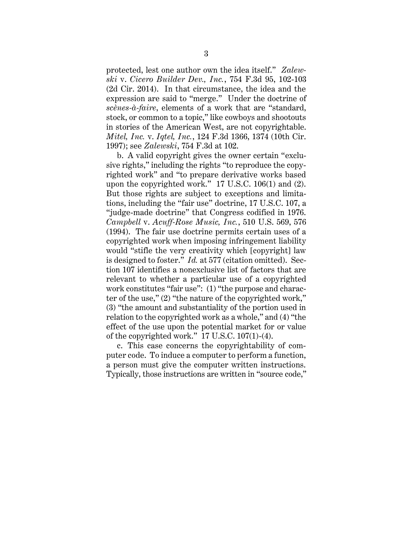protected, lest one author own the idea itself." *Zalewski* v. *Cicero Builder Dev., Inc.*, 754 F.3d 95, 102-103 (2d Cir. 2014). In that circumstance, the idea and the expression are said to "merge." Under the doctrine of *scènes-à-faire*, elements of a work that are "standard, stock, or common to a topic," like cowboys and shootouts in stories of the American West, are not copyrightable. *Mitel, Inc.* v. *Iqtel, Inc.*, 124 F.3d 1366, 1374 (10th Cir. 1997); see *Zalewski*, 754 F.3d at 102.

b. A valid copyright gives the owner certain "exclusive rights," including the rights "to reproduce the copyrighted work" and "to prepare derivative works based upon the copyrighted work." 17 U.S.C. 106(1) and (2). But those rights are subject to exceptions and limitations, including the "fair use" doctrine, 17 U.S.C. 107, a "judge-made doctrine" that Congress codified in 1976. *Campbell* v. *Acuff-Rose Music, Inc.*, 510 U.S. 569, 576 (1994). The fair use doctrine permits certain uses of a copyrighted work when imposing infringement liability would "stifle the very creativity which [copyright] law is designed to foster." *Id.* at 577 (citation omitted). Section 107 identifies a nonexclusive list of factors that are relevant to whether a particular use of a copyrighted work constitutes "fair use": (1) "the purpose and character of the use," (2) "the nature of the copyrighted work," (3) "the amount and substantiality of the portion used in relation to the copyrighted work as a whole," and (4) "the effect of the use upon the potential market for or value of the copyrighted work." 17 U.S.C. 107(1)-(4).

c. This case concerns the copyrightability of computer code. To induce a computer to perform a function, a person must give the computer written instructions. Typically, those instructions are written in "source code,"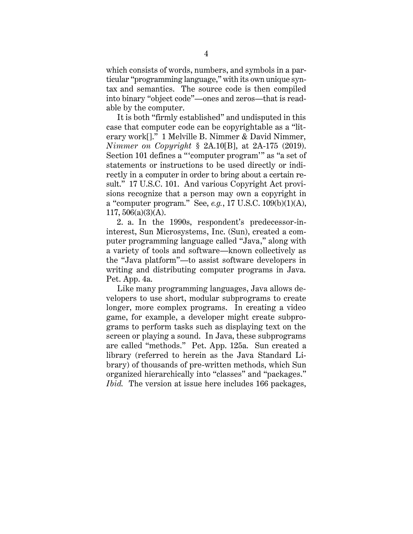which consists of words, numbers, and symbols in a particular "programming language," with its own unique syntax and semantics. The source code is then compiled into binary "object code"—ones and zeros—that is readable by the computer.

It is both "firmly established" and undisputed in this case that computer code can be copyrightable as a "literary work[]." 1 Melville B. Nimmer & David Nimmer, *Nimmer on Copyright* § 2A.10[B], at 2A-175 (2019). Section 101 defines a "'computer program'" as "a set of statements or instructions to be used directly or indirectly in a computer in order to bring about a certain result." 17 U.S.C. 101. And various Copyright Act provisions recognize that a person may own a copyright in a "computer program." See, *e.g.*, 17 U.S.C. 109(b)(1)(A), 117,  $506(a)(3)(A)$ .

2. a. In the 1990s, respondent's predecessor-ininterest, Sun Microsystems, Inc. (Sun), created a computer programming language called "Java," along with a variety of tools and software—known collectively as the "Java platform"—to assist software developers in writing and distributing computer programs in Java. Pet. App. 4a.

Like many programming languages, Java allows developers to use short, modular subprograms to create longer, more complex programs. In creating a video game, for example, a developer might create subprograms to perform tasks such as displaying text on the screen or playing a sound. In Java, these subprograms are called "methods." Pet. App. 125a. Sun created a library (referred to herein as the Java Standard Library) of thousands of pre-written methods, which Sun organized hierarchically into "classes" and "packages." *Ibid.* The version at issue here includes 166 packages,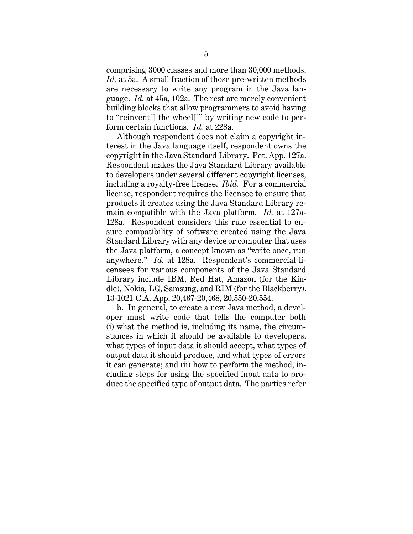comprising 3000 classes and more than 30,000 methods. *Id.* at 5a. A small fraction of those pre-written methods are necessary to write any program in the Java language. *Id.* at 45a, 102a. The rest are merely convenient building blocks that allow programmers to avoid having to "reinvent[] the wheel[]" by writing new code to perform certain functions. *Id.* at 228a.

Although respondent does not claim a copyright interest in the Java language itself, respondent owns the copyright in the Java Standard Library. Pet. App. 127a. Respondent makes the Java Standard Library available to developers under several different copyright licenses, including a royalty-free license. *Ibid.* For a commercial license, respondent requires the licensee to ensure that products it creates using the Java Standard Library remain compatible with the Java platform. *Id.* at 127a-128a. Respondent considers this rule essential to ensure compatibility of software created using the Java Standard Library with any device or computer that uses the Java platform, a concept known as "write once, run anywhere." *Id.* at 128a. Respondent's commercial licensees for various components of the Java Standard Library include IBM, Red Hat, Amazon (for the Kindle), Nokia, LG, Samsung, and RIM (for the Blackberry). 13-1021 C.A. App. 20,467-20,468, 20,550-20,554.

b. In general, to create a new Java method, a developer must write code that tells the computer both (i) what the method is, including its name, the circumstances in which it should be available to developers, what types of input data it should accept, what types of output data it should produce, and what types of errors it can generate; and (ii) how to perform the method, including steps for using the specified input data to produce the specified type of output data. The parties refer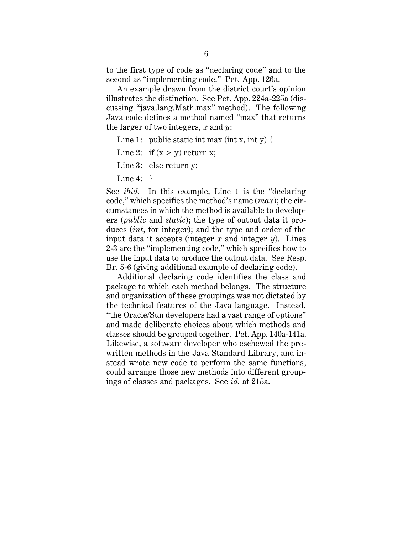to the first type of code as "declaring code" and to the second as "implementing code." Pet. App. 126a.

An example drawn from the district court's opinion illustrates the distinction. See Pet. App. 224a-225a (discussing "java.lang.Math.max" method). The following Java code defines a method named "max" that returns the larger of two integers, *x* and *y*:

Line 1: public static int max (int x, int y)  $\{$ 

Line 2: if  $(x > v)$  return x;

Line 3: else return y;

Line 4:  $\}$ 

See *ibid.* In this example, Line 1 is the "declaring code," which specifies the method's name (*max*); the circumstances in which the method is available to developers (*public* and *static*); the type of output data it produces (*int*, for integer); and the type and order of the input data it accepts (integer *x* and integer *y*). Lines 2-3 are the "implementing code," which specifies how to use the input data to produce the output data. See Resp. Br. 5-6 (giving additional example of declaring code).

Additional declaring code identifies the class and package to which each method belongs. The structure and organization of these groupings was not dictated by the technical features of the Java language. Instead, "the Oracle/Sun developers had a vast range of options" and made deliberate choices about which methods and classes should be grouped together. Pet. App. 140a-141a. Likewise, a software developer who eschewed the prewritten methods in the Java Standard Library, and instead wrote new code to perform the same functions, could arrange those new methods into different groupings of classes and packages. See *id.* at 215a.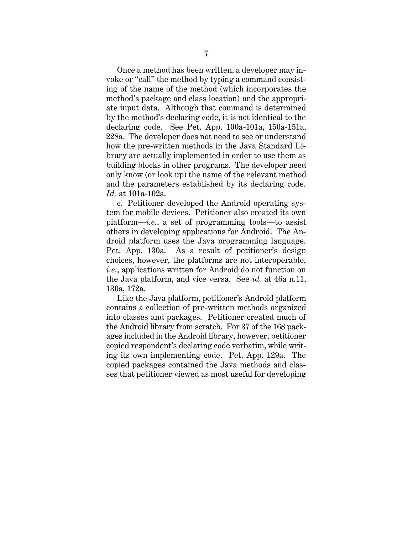Once a method has been written, a developer may invoke or "call" the method by typing a command consisting of the name of the method (which incorporates the method's package and class location) and the appropriate input data. Although that command is determined by the method's declaring code, it is not identical to the declaring code. See Pet. App. 100a-101a, 150a-151a, 228a. The developer does not need to see or understand how the pre-written methods in the Java Standard Library are actually implemented in order to use them as building blocks in other programs. The developer need only know (or look up) the name of the relevant method and the parameters established by its declaring code. *Id.* at 101a-102a.

c. Petitioner developed the Android operating system for mobile devices. Petitioner also created its own platform—*i.e.*, a set of programming tools—to assist others in developing applications for Android. The Android platform uses the Java programming language. Pet. App. 130a. As a result of petitioner's design choices, however, the platforms are not interoperable, *i.e.*, applications written for Android do not function on the Java platform, and vice versa. See *id.* at 46a n.11, 130a, 172a.

Like the Java platform, petitioner's Android platform contains a collection of pre-written methods organized into classes and packages. Petitioner created much of the Android library from scratch. For 37 of the 168 packages included in the Android library, however, petitioner copied respondent's declaring code verbatim, while writing its own implementing code. Pet. App. 129a. The copied packages contained the Java methods and classes that petitioner viewed as most useful for developing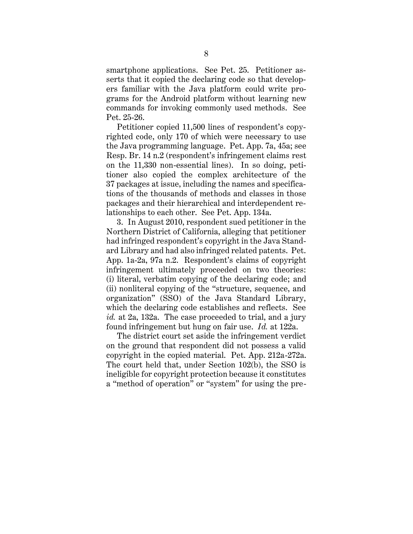smartphone applications. See Pet. 25. Petitioner asserts that it copied the declaring code so that developers familiar with the Java platform could write programs for the Android platform without learning new commands for invoking commonly used methods. See Pet. 25-26.

Petitioner copied 11,500 lines of respondent's copyrighted code, only 170 of which were necessary to use the Java programming language. Pet. App. 7a, 45a; see Resp. Br. 14 n.2 (respondent's infringement claims rest on the 11,330 non-essential lines). In so doing, petitioner also copied the complex architecture of the 37 packages at issue, including the names and specifications of the thousands of methods and classes in those packages and their hierarchical and interdependent relationships to each other. See Pet. App. 134a.

3. In August 2010, respondent sued petitioner in the Northern District of California, alleging that petitioner had infringed respondent's copyright in the Java Standard Library and had also infringed related patents. Pet. App. 1a-2a, 97a n.2. Respondent's claims of copyright infringement ultimately proceeded on two theories: (i) literal, verbatim copying of the declaring code; and (ii) nonliteral copying of the "structure, sequence, and organization" (SSO) of the Java Standard Library, which the declaring code establishes and reflects. See *id.* at 2a, 132a. The case proceeded to trial, and a jury found infringement but hung on fair use. *Id.* at 122a.

The district court set aside the infringement verdict on the ground that respondent did not possess a valid copyright in the copied material. Pet. App. 212a-272a. The court held that, under Section 102(b), the SSO is ineligible for copyright protection because it constitutes a "method of operation" or "system" for using the pre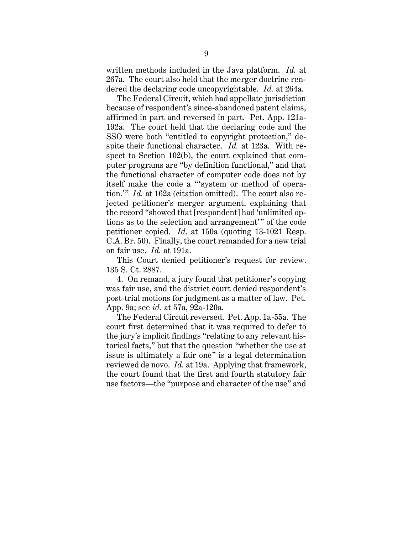written methods included in the Java platform. *Id.* at 267a. The court also held that the merger doctrine rendered the declaring code uncopyrightable. *Id.* at 264a.

The Federal Circuit, which had appellate jurisdiction because of respondent's since-abandoned patent claims, affirmed in part and reversed in part. Pet. App. 121a-192a. The court held that the declaring code and the SSO were both "entitled to copyright protection," despite their functional character. *Id.* at 123a. With respect to Section 102(b), the court explained that computer programs are "by definition functional," and that the functional character of computer code does not by itself make the code a "'system or method of operation.'" *Id.* at 162a (citation omitted). The court also rejected petitioner's merger argument, explaining that the record "showed that [respondent] had 'unlimited options as to the selection and arrangement'" of the code petitioner copied. *Id*. at 150a (quoting 13-1021 Resp. C.A. Br. 50). Finally, the court remanded for a new trial on fair use. *Id.* at 191a.

This Court denied petitioner's request for review. 135 S. Ct. 2887.

4. On remand, a jury found that petitioner's copying was fair use, and the district court denied respondent's post-trial motions for judgment as a matter of law. Pet. App. 9a; see *id.* at 57a, 92a-120a.

The Federal Circuit reversed. Pet. App. 1a-55a. The court first determined that it was required to defer to the jury's implicit findings "relating to any relevant historical facts," but that the question "whether the use at issue is ultimately a fair one" is a legal determination reviewed de novo. *Id.* at 19a. Applying that framework, the court found that the first and fourth statutory fair use factors—the "purpose and character of the use" and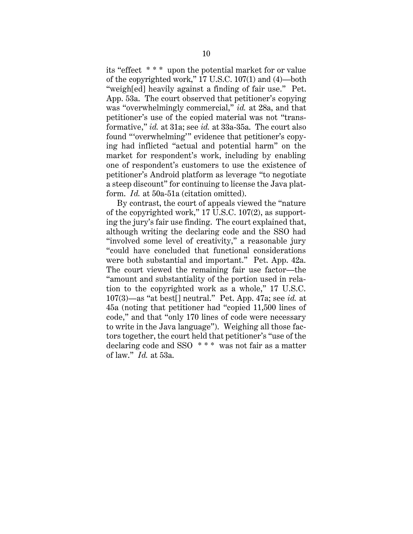its "effect \* \* \* upon the potential market for or value of the copyrighted work," 17 U.S.C. 107(1) and (4)—both "weigh[ed] heavily against a finding of fair use." Pet. App. 53a. The court observed that petitioner's copying was "overwhelmingly commercial," *id.* at 28a, and that petitioner's use of the copied material was not "transformative," *id.* at 31a; see *id.* at 33a-35a. The court also found "'overwhelming'" evidence that petitioner's copying had inflicted "actual and potential harm" on the market for respondent's work, including by enabling one of respondent's customers to use the existence of petitioner's Android platform as leverage "to negotiate a steep discount" for continuing to license the Java platform. *Id.* at 50a-51a (citation omitted).

By contrast, the court of appeals viewed the "nature of the copyrighted work," 17 U.S.C. 107(2), as supporting the jury's fair use finding. The court explained that, although writing the declaring code and the SSO had "involved some level of creativity," a reasonable jury "could have concluded that functional considerations were both substantial and important." Pet. App. 42a. The court viewed the remaining fair use factor—the "amount and substantiality of the portion used in relation to the copyrighted work as a whole," 17 U.S.C. 107(3)—as "at best[] neutral." Pet. App. 47a; see *id.* at 45a (noting that petitioner had "copied 11,500 lines of code," and that "only 170 lines of code were necessary to write in the Java language"). Weighing all those factors together, the court held that petitioner's "use of the declaring code and SSO \* \* \* was not fair as a matter of law." *Id.* at 53a.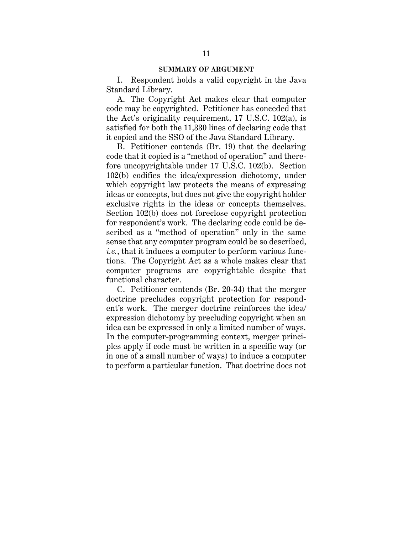#### **SUMMARY OF ARGUMENT**

I. Respondent holds a valid copyright in the Java Standard Library.

A. The Copyright Act makes clear that computer code may be copyrighted. Petitioner has conceded that the Act's originality requirement, 17 U.S.C. 102(a), is satisfied for both the 11,330 lines of declaring code that it copied and the SSO of the Java Standard Library.

B. Petitioner contends (Br. 19) that the declaring code that it copied is a "method of operation" and therefore uncopyrightable under 17 U.S.C. 102(b). Section 102(b) codifies the idea/expression dichotomy, under which copyright law protects the means of expressing ideas or concepts, but does not give the copyright holder exclusive rights in the ideas or concepts themselves. Section 102(b) does not foreclose copyright protection for respondent's work. The declaring code could be described as a "method of operation" only in the same sense that any computer program could be so described, *i.e.*, that it induces a computer to perform various functions. The Copyright Act as a whole makes clear that computer programs are copyrightable despite that functional character.

C. Petitioner contends (Br. 20-34) that the merger doctrine precludes copyright protection for respondent's work. The merger doctrine reinforces the idea/ expression dichotomy by precluding copyright when an idea can be expressed in only a limited number of ways. In the computer-programming context, merger principles apply if code must be written in a specific way (or in one of a small number of ways) to induce a computer to perform a particular function. That doctrine does not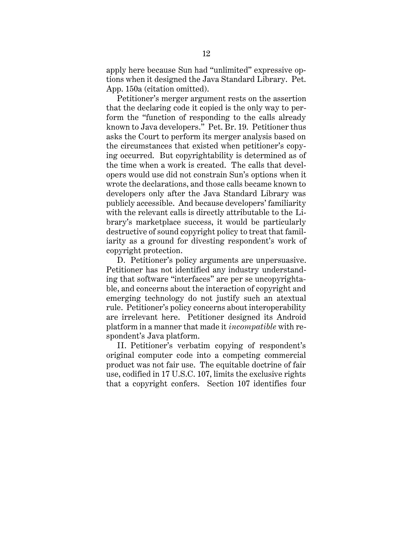apply here because Sun had "unlimited" expressive options when it designed the Java Standard Library. Pet. App. 150a (citation omitted).

Petitioner's merger argument rests on the assertion that the declaring code it copied is the only way to perform the "function of responding to the calls already known to Java developers." Pet. Br. 19. Petitioner thus asks the Court to perform its merger analysis based on the circumstances that existed when petitioner's copying occurred. But copyrightability is determined as of the time when a work is created. The calls that developers would use did not constrain Sun's options when it wrote the declarations, and those calls became known to developers only after the Java Standard Library was publicly accessible. And because developers' familiarity with the relevant calls is directly attributable to the Library's marketplace success, it would be particularly destructive of sound copyright policy to treat that familiarity as a ground for divesting respondent's work of copyright protection.

D. Petitioner's policy arguments are unpersuasive. Petitioner has not identified any industry understanding that software "interfaces" are per se uncopyrightable, and concerns about the interaction of copyright and emerging technology do not justify such an atextual rule. Petitioner's policy concerns about interoperability are irrelevant here. Petitioner designed its Android platform in a manner that made it *incompatible* with respondent's Java platform.

II. Petitioner's verbatim copying of respondent's original computer code into a competing commercial product was not fair use. The equitable doctrine of fair use, codified in 17 U.S.C. 107, limits the exclusive rights that a copyright confers. Section 107 identifies four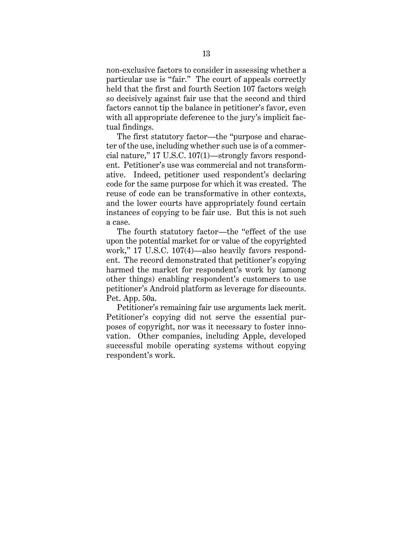non-exclusive factors to consider in assessing whether a particular use is "fair." The court of appeals correctly held that the first and fourth Section 107 factors weigh so decisively against fair use that the second and third factors cannot tip the balance in petitioner's favor, even with all appropriate deference to the jury's implicit factual findings.

The first statutory factor—the "purpose and character of the use, including whether such use is of a commercial nature," 17 U.S.C. 107(1)—strongly favors respondent. Petitioner's use was commercial and not transformative. Indeed, petitioner used respondent's declaring code for the same purpose for which it was created. The reuse of code can be transformative in other contexts, and the lower courts have appropriately found certain instances of copying to be fair use. But this is not such a case.

The fourth statutory factor—the "effect of the use upon the potential market for or value of the copyrighted work," 17 U.S.C. 107(4)—also heavily favors respondent. The record demonstrated that petitioner's copying harmed the market for respondent's work by (among other things) enabling respondent's customers to use petitioner's Android platform as leverage for discounts. Pet. App. 50a.

Petitioner's remaining fair use arguments lack merit. Petitioner's copying did not serve the essential purposes of copyright, nor was it necessary to foster innovation. Other companies, including Apple, developed successful mobile operating systems without copying respondent's work.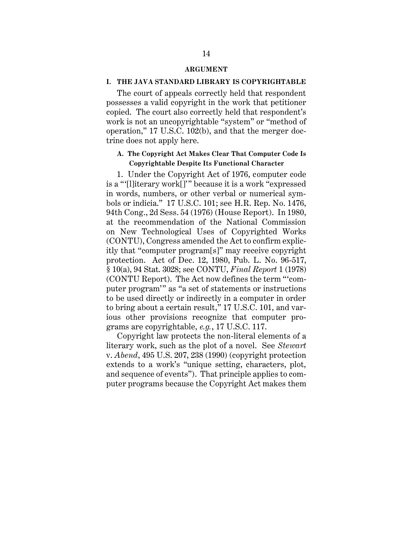#### **ARGUMENT**

#### **I. THE JAVA STANDARD LIBRARY IS COPYRIGHTABLE**

The court of appeals correctly held that respondent possesses a valid copyright in the work that petitioner copied. The court also correctly held that respondent's work is not an uncopyrightable "system" or "method of operation," 17 U.S.C. 102(b), and that the merger doctrine does not apply here.

## **A. The Copyright Act Makes Clear That Computer Code Is Copyrightable Despite Its Functional Character**

1. Under the Copyright Act of 1976, computer code is a "'[l]iterary work[]'" because it is a work "expressed in words, numbers, or other verbal or numerical symbols or indicia." 17 U.S.C. 101; see H.R. Rep. No. 1476, 94th Cong., 2d Sess. 54 (1976) (House Report). In 1980, at the recommendation of the National Commission on New Technological Uses of Copyrighted Works (CONTU), Congress amended the Act to confirm explicitly that "computer program[s]" may receive copyright protection. Act of Dec. 12, 1980, Pub. L. No. 96-517, § 10(a), 94 Stat. 3028; see CONTU, *Final Report* 1 (1978) (CONTU Report). The Act now defines the term "'computer program'" as "a set of statements or instructions to be used directly or indirectly in a computer in order to bring about a certain result," 17 U.S.C. 101, and various other provisions recognize that computer programs are copyrightable, *e.g.*, 17 U.S.C. 117.

Copyright law protects the non-literal elements of a literary work, such as the plot of a novel. See *Stewart*  v. *Abend*, 495 U.S. 207, 238 (1990) (copyright protection extends to a work's "unique setting, characters, plot, and sequence of events"). That principle applies to computer programs because the Copyright Act makes them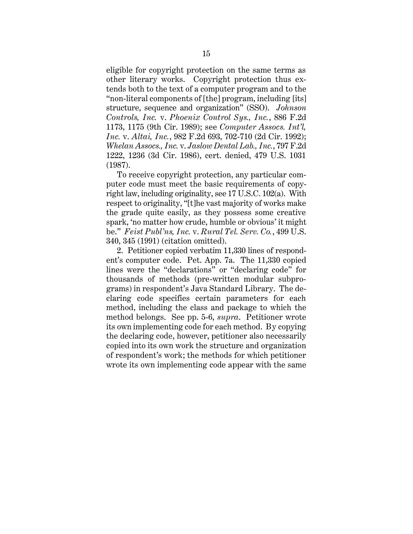eligible for copyright protection on the same terms as other literary works. Copyright protection thus extends both to the text of a computer program and to the "non-literal components of [the] program, including [its] structure, sequence and organization" (SSO). *Johnson Controls, Inc.* v. *Phoenix Control Sys., Inc.*, 886 F.2d 1173, 1175 (9th Cir. 1989); see *Computer Assocs. Int'l, Inc.* v. *Altai, Inc.*, 982 F.2d 693, 702-710 (2d Cir. 1992); *Whelan Assocs., Inc.* v. *Jaslow Dental Lab., Inc.*, 797 F.2d 1222, 1236 (3d Cir. 1986), cert. denied, 479 U.S. 1031 (1987).

To receive copyright protection, any particular computer code must meet the basic requirements of copyright law, including originality, see 17 U.S.C. 102(a). With respect to originality, "[t]he vast majority of works make the grade quite easily, as they possess some creative spark, 'no matter how crude, humble or obvious' it might be." *Feist Publ'ns, Inc.* v. *Rural Tel. Serv. Co.*, 499 U.S. 340, 345 (1991) (citation omitted).

2. Petitioner copied verbatim 11,330 lines of respondent's computer code. Pet. App. 7a. The 11,330 copied lines were the "declarations" or "declaring code" for thousands of methods (pre-written modular subprograms) in respondent's Java Standard Library. The declaring code specifies certain parameters for each method, including the class and package to which the method belongs. See pp. 5-6, *supra*. Petitioner wrote its own implementing code for each method. By copying the declaring code, however, petitioner also necessarily copied into its own work the structure and organization of respondent's work; the methods for which petitioner wrote its own implementing code appear with the same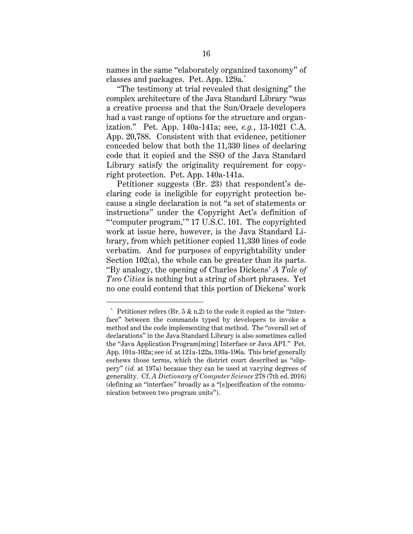names in the same "elaborately organized taxonomy" of classes and packages. Pet. App. 129a.\*

"The testimony at trial revealed that designing" the complex architecture of the Java Standard Library "was a creative process and that the Sun/Oracle developers had a vast range of options for the structure and organization." Pet. App. 140a-141a; see, *e.g.*, 13-1021 C.A. App. 20,788. Consistent with that evidence, petitioner conceded below that both the 11,330 lines of declaring code that it copied and the SSO of the Java Standard Library satisfy the originality requirement for copyright protection. Pet. App. 140a-141a.

Petitioner suggests (Br. 23) that respondent's declaring code is ineligible for copyright protection because a single declaration is not "a set of statements or instructions" under the Copyright Act's definition of "'computer program,'" 17 U.S.C. 101. The copyrighted work at issue here, however, is the Java Standard Library, from which petitioner copied 11,330 lines of code verbatim. And for purposes of copyrightability under Section 102(a), the whole can be greater than its parts. "By analogy, the opening of Charles Dickens' *A Tale of Two Cities* is nothing but a string of short phrases. Yet no one could contend that this portion of Dickens' work

 $\overline{a}$ 

Petitioner refers (Br.  $5 \& n.2$ ) to the code it copied as the "interface" between the commands typed by developers to invoke a method and the code implementing that method. The "overall set of declarations" in the Java Standard Library is also sometimes called the "Java Application Program[ming] Interface or Java API." Pet. App. 101a-102a; see *id.* at 121a-122a, 193a-196a. This brief generally eschews those terms, which the district court described as "slippery" (*id.* at 197a) because they can be used at varying degrees of generality. Cf. *A Dictionary of Computer Science* 278 (7th ed. 2016) (defining an "interface" broadly as a "[s]pecification of the communication between two program units").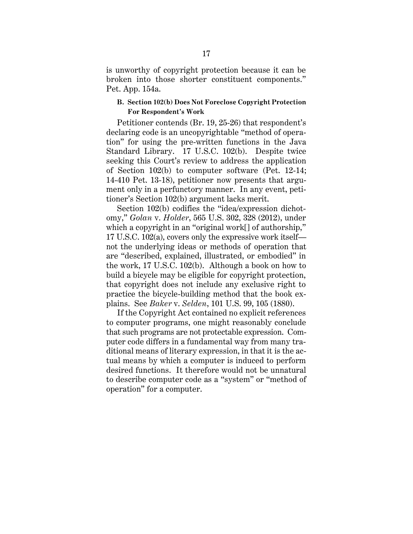is unworthy of copyright protection because it can be broken into those shorter constituent components." Pet. App. 154a.

## **B. Section 102(b) Does Not Foreclose Copyright Protection For Respondent's Work**

Petitioner contends (Br. 19, 25-26) that respondent's declaring code is an uncopyrightable "method of operation" for using the pre-written functions in the Java Standard Library. 17 U.S.C. 102(b). Despite twice seeking this Court's review to address the application of Section 102(b) to computer software (Pet. 12-14; 14-410 Pet. 13-18), petitioner now presents that argument only in a perfunctory manner. In any event, petitioner's Section 102(b) argument lacks merit.

Section 102(b) codifies the "idea/expression dichotomy," *Golan* v. *Holder*, 565 U.S. 302, 328 (2012), under which a copyright in an "original work[] of authorship," 17 U.S.C. 102(a), covers only the expressive work itself not the underlying ideas or methods of operation that are "described, explained, illustrated, or embodied" in the work, 17 U.S.C. 102(b). Although a book on how to build a bicycle may be eligible for copyright protection, that copyright does not include any exclusive right to practice the bicycle-building method that the book explains. See *Baker* v. *Selden*, 101 U.S. 99, 105 (1880).

If the Copyright Act contained no explicit references to computer programs, one might reasonably conclude that such programs are not protectable expression. Computer code differs in a fundamental way from many traditional means of literary expression, in that it is the actual means by which a computer is induced to perform desired functions. It therefore would not be unnatural to describe computer code as a "system" or "method of operation" for a computer.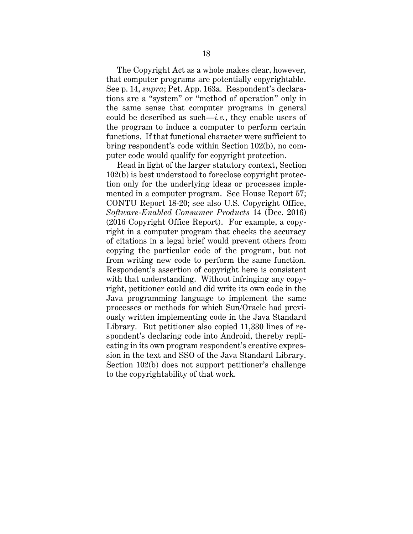The Copyright Act as a whole makes clear, however, that computer programs are potentially copyrightable. See p. 14, *supra*; Pet. App. 163a. Respondent's declarations are a "system" or "method of operation" only in the same sense that computer programs in general could be described as such—*i.e.*, they enable users of the program to induce a computer to perform certain functions. If that functional character were sufficient to bring respondent's code within Section 102(b), no computer code would qualify for copyright protection.

Read in light of the larger statutory context, Section 102(b) is best understood to foreclose copyright protection only for the underlying ideas or processes implemented in a computer program. See House Report 57; CONTU Report 18-20; see also U.S. Copyright Office, *Software-Enabled Consumer Products* 14 (Dec. 2016) (2016 Copyright Office Report). For example, a copyright in a computer program that checks the accuracy of citations in a legal brief would prevent others from copying the particular code of the program, but not from writing new code to perform the same function. Respondent's assertion of copyright here is consistent with that understanding. Without infringing any copyright, petitioner could and did write its own code in the Java programming language to implement the same processes or methods for which Sun/Oracle had previously written implementing code in the Java Standard Library. But petitioner also copied 11,330 lines of respondent's declaring code into Android, thereby replicating in its own program respondent's creative expression in the text and SSO of the Java Standard Library. Section 102(b) does not support petitioner's challenge to the copyrightability of that work.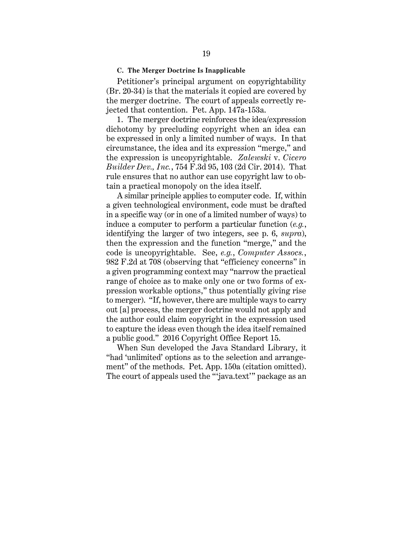#### **C. The Merger Doctrine Is Inapplicable**

Petitioner's principal argument on copyrightability (Br. 20-34) is that the materials it copied are covered by the merger doctrine. The court of appeals correctly rejected that contention. Pet. App. 147a-153a.

1. The merger doctrine reinforces the idea/expression dichotomy by precluding copyright when an idea can be expressed in only a limited number of ways. In that circumstance, the idea and its expression "merge," and the expression is uncopyrightable. *Zalewski* v. *Cicero Builder Dev., Inc.*, 754 F.3d 95, 103 (2d Cir. 2014). That rule ensures that no author can use copyright law to obtain a practical monopoly on the idea itself.

A similar principle applies to computer code. If, within a given technological environment, code must be drafted in a specific way (or in one of a limited number of ways) to induce a computer to perform a particular function (*e.g.*, identifying the larger of two integers, see p. 6, *supra*), then the expression and the function "merge," and the code is uncopyrightable. See, *e.g.*, *Computer Assocs.*, 982 F.2d at 708 (observing that "efficiency concerns" in a given programming context may "narrow the practical range of choice as to make only one or two forms of expression workable options," thus potentially giving rise to merger). "If, however, there are multiple ways to carry out [a] process, the merger doctrine would not apply and the author could claim copyright in the expression used to capture the ideas even though the idea itself remained a public good." 2016 Copyright Office Report 15.

When Sun developed the Java Standard Library, it "had 'unlimited' options as to the selection and arrangement" of the methods. Pet. App. 150a (citation omitted). The court of appeals used the "'java.text'" package as an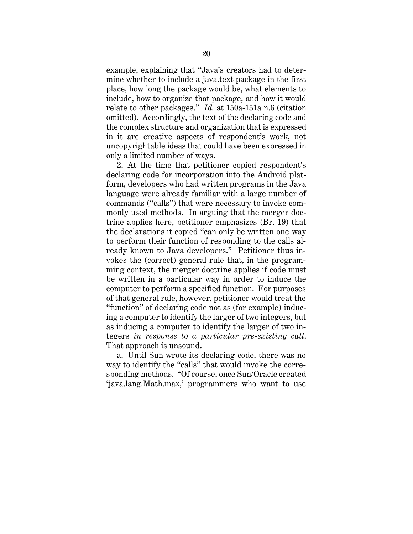example, explaining that "Java's creators had to determine whether to include a java.text package in the first place, how long the package would be, what elements to include, how to organize that package, and how it would relate to other packages." *Id.* at 150a-151a n.6 (citation omitted). Accordingly, the text of the declaring code and the complex structure and organization that is expressed in it are creative aspects of respondent's work, not uncopyrightable ideas that could have been expressed in only a limited number of ways.

2. At the time that petitioner copied respondent's declaring code for incorporation into the Android platform, developers who had written programs in the Java language were already familiar with a large number of commands ("calls") that were necessary to invoke commonly used methods. In arguing that the merger doctrine applies here, petitioner emphasizes (Br. 19) that the declarations it copied "can only be written one way to perform their function of responding to the calls already known to Java developers." Petitioner thus invokes the (correct) general rule that, in the programming context, the merger doctrine applies if code must be written in a particular way in order to induce the computer to perform a specified function. For purposes of that general rule, however, petitioner would treat the "function" of declaring code not as (for example) inducing a computer to identify the larger of two integers, but as inducing a computer to identify the larger of two integers *in response to a particular pre-existing call*. That approach is unsound.

a. Until Sun wrote its declaring code, there was no way to identify the "calls" that would invoke the corresponding methods. "Of course, once Sun/Oracle created 'java.lang.Math.max,' programmers who want to use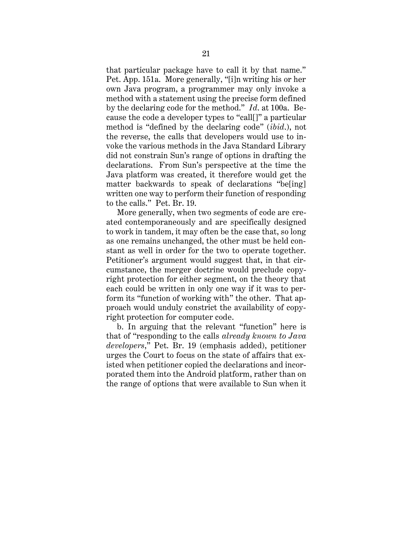that particular package have to call it by that name." Pet. App. 151a. More generally, "[i]n writing his or her own Java program, a programmer may only invoke a method with a statement using the precise form defined by the declaring code for the method." *Id*. at 100a. Because the code a developer types to "call[]" a particular method is "defined by the declaring code" (*ibid*.), not the reverse, the calls that developers would use to invoke the various methods in the Java Standard Library did not constrain Sun's range of options in drafting the declarations. From Sun's perspective at the time the Java platform was created, it therefore would get the matter backwards to speak of declarations "be[ing] written one way to perform their function of responding to the calls." Pet. Br. 19.

More generally, when two segments of code are created contemporaneously and are specifically designed to work in tandem, it may often be the case that, so long as one remains unchanged, the other must be held constant as well in order for the two to operate together. Petitioner's argument would suggest that, in that circumstance, the merger doctrine would preclude copyright protection for either segment, on the theory that each could be written in only one way if it was to perform its "function of working with" the other. That approach would unduly constrict the availability of copyright protection for computer code.

b. In arguing that the relevant "function" here is that of "responding to the calls *already known to Java developers*," Pet. Br. 19 (emphasis added), petitioner urges the Court to focus on the state of affairs that existed when petitioner copied the declarations and incorporated them into the Android platform, rather than on the range of options that were available to Sun when it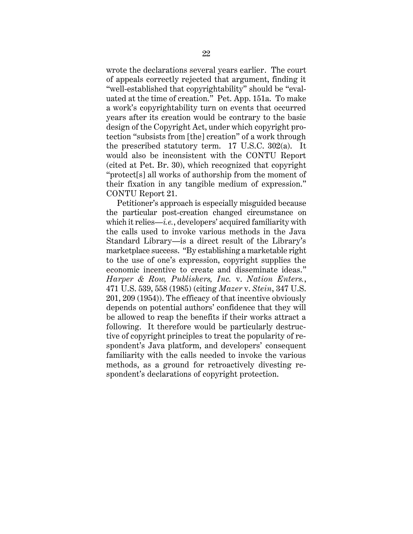wrote the declarations several years earlier. The court of appeals correctly rejected that argument, finding it "well-established that copyrightability" should be "evaluated at the time of creation." Pet. App. 151a. To make a work's copyrightability turn on events that occurred years after its creation would be contrary to the basic design of the Copyright Act, under which copyright protection "subsists from [the] creation" of a work through the prescribed statutory term. 17 U.S.C. 302(a). It would also be inconsistent with the CONTU Report (cited at Pet. Br. 30), which recognized that copyright "protect[s] all works of authorship from the moment of their fixation in any tangible medium of expression." CONTU Report 21.

Petitioner's approach is especially misguided because the particular post-creation changed circumstance on which it relies—*i.e.*, developers' acquired familiarity with the calls used to invoke various methods in the Java Standard Library—is a direct result of the Library's marketplace success. "By establishing a marketable right to the use of one's expression, copyright supplies the economic incentive to create and disseminate ideas." *Harper & Row, Publishers, Inc.* v. *Nation Enters.*, 471 U.S. 539, 558 (1985) (citing *Mazer* v. *Stein*, 347 U.S. 201, 209 (1954)). The efficacy of that incentive obviously depends on potential authors' confidence that they will be allowed to reap the benefits if their works attract a following. It therefore would be particularly destructive of copyright principles to treat the popularity of respondent's Java platform, and developers' consequent familiarity with the calls needed to invoke the various methods, as a ground for retroactively divesting respondent's declarations of copyright protection.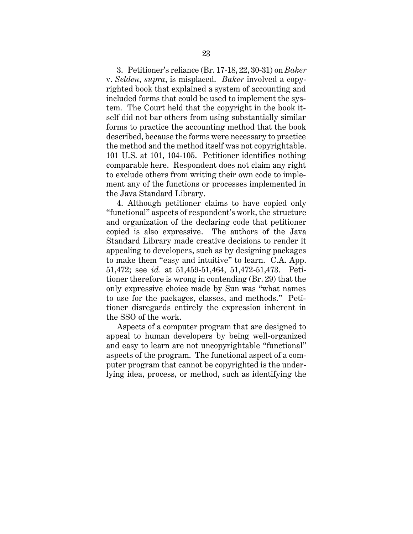3. Petitioner's reliance (Br. 17-18, 22, 30-31) on *Baker* v. *Selden*, *supra*, is misplaced. *Baker* involved a copyrighted book that explained a system of accounting and included forms that could be used to implement the system. The Court held that the copyright in the book itself did not bar others from using substantially similar forms to practice the accounting method that the book described, because the forms were necessary to practice the method and the method itself was not copyrightable. 101 U.S. at 101, 104-105. Petitioner identifies nothing comparable here. Respondent does not claim any right to exclude others from writing their own code to implement any of the functions or processes implemented in the Java Standard Library.

4. Although petitioner claims to have copied only "functional" aspects of respondent's work, the structure and organization of the declaring code that petitioner copied is also expressive. The authors of the Java Standard Library made creative decisions to render it appealing to developers, such as by designing packages to make them "easy and intuitive" to learn. C.A. App. 51,472; see *id.* at 51,459-51,464, 51,472-51,473. Petitioner therefore is wrong in contending (Br. 29) that the only expressive choice made by Sun was "what names to use for the packages, classes, and methods." Petitioner disregards entirely the expression inherent in the SSO of the work.

Aspects of a computer program that are designed to appeal to human developers by being well-organized and easy to learn are not uncopyrightable "functional" aspects of the program. The functional aspect of a computer program that cannot be copyrighted is the underlying idea, process, or method, such as identifying the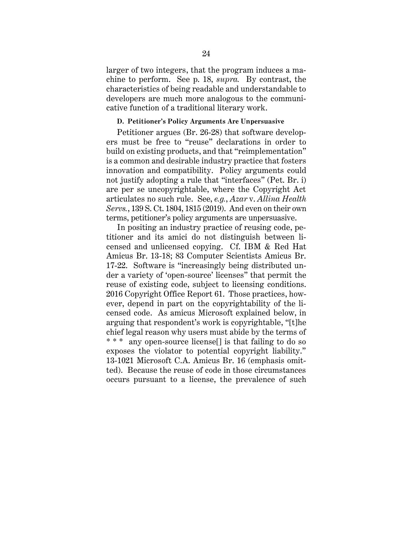larger of two integers, that the program induces a machine to perform. See p. 18, *supra.* By contrast, the characteristics of being readable and understandable to developers are much more analogous to the communicative function of a traditional literary work.

#### **D. Petitioner's Policy Arguments Are Unpersuasive**

Petitioner argues (Br. 26-28) that software developers must be free to "reuse" declarations in order to build on existing products, and that "reimplementation" is a common and desirable industry practice that fosters innovation and compatibility. Policy arguments could not justify adopting a rule that "interfaces" (Pet. Br. i) are per se uncopyrightable, where the Copyright Act articulates no such rule. See, *e.g.*, *Azar* v. *Allina Health Servs.*, 139 S. Ct. 1804, 1815 (2019). And even on their own terms, petitioner's policy arguments are unpersuasive.

In positing an industry practice of reusing code, petitioner and its amici do not distinguish between licensed and unlicensed copying. Cf. IBM & Red Hat Amicus Br. 13-18; 83 Computer Scientists Amicus Br. 17-22. Software is "increasingly being distributed under a variety of 'open-source' licenses" that permit the reuse of existing code, subject to licensing conditions. 2016 Copyright Office Report 61. Those practices, however, depend in part on the copyrightability of the licensed code. As amicus Microsoft explained below, in arguing that respondent's work is copyrightable, "[t]he chief legal reason why users must abide by the terms of \* \* \* any open-source license[] is that failing to do so exposes the violator to potential copyright liability." 13-1021 Microsoft C.A. Amicus Br. 16 (emphasis omitted). Because the reuse of code in those circumstances occurs pursuant to a license, the prevalence of such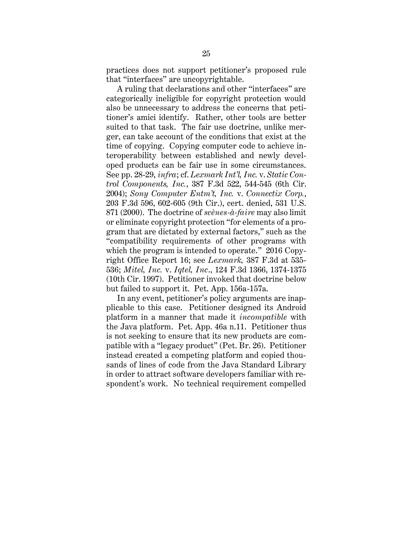practices does not support petitioner's proposed rule that "interfaces" are uncopyrightable.

A ruling that declarations and other "interfaces" are categorically ineligible for copyright protection would also be unnecessary to address the concerns that petitioner's amici identify. Rather, other tools are better suited to that task. The fair use doctrine, unlike merger, can take account of the conditions that exist at the time of copying. Copying computer code to achieve interoperability between established and newly developed products can be fair use in some circumstances. See pp. 28-29, *infra*; cf. *Lexmark Int'l, Inc.* v. *Static Control Components, Inc.*, 387 F.3d 522, 544-545 (6th Cir. 2004); *Sony Computer Entm't, Inc.* v. *Connectix Corp.*, 203 F.3d 596, 602-605 (9th Cir.), cert. denied, 531 U.S. 871 (2000). The doctrine of *scènes-à-faire* may also limit or eliminate copyright protection "for elements of a program that are dictated by external factors," such as the "compatibility requirements of other programs with which the program is intended to operate." 2016 Copyright Office Report 16; see *Lexmark,* 387 F.3d at 535- 536; *Mitel, Inc.* v. *Iqtel, Inc*., 124 F.3d 1366, 1374-1375 (10th Cir. 1997). Petitioner invoked that doctrine below but failed to support it. Pet. App. 156a-157a.

In any event, petitioner's policy arguments are inapplicable to this case. Petitioner designed its Android platform in a manner that made it *incompatible* with the Java platform. Pet. App. 46a n.11. Petitioner thus is not seeking to ensure that its new products are compatible with a "legacy product" (Pet. Br. 26). Petitioner instead created a competing platform and copied thousands of lines of code from the Java Standard Library in order to attract software developers familiar with respondent's work. No technical requirement compelled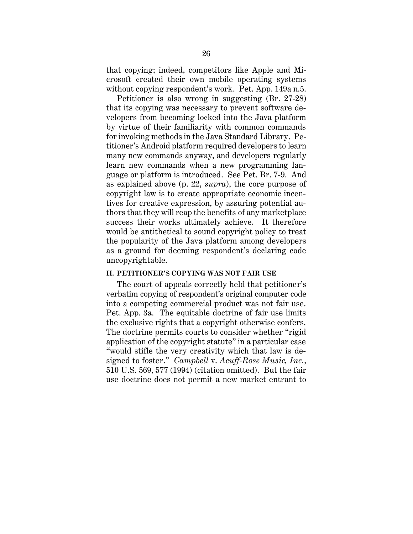that copying; indeed, competitors like Apple and Microsoft created their own mobile operating systems without copying respondent's work. Pet. App. 149a n.5.

Petitioner is also wrong in suggesting (Br. 27-28) that its copying was necessary to prevent software developers from becoming locked into the Java platform by virtue of their familiarity with common commands for invoking methods in the Java Standard Library. Petitioner's Android platform required developers to learn many new commands anyway, and developers regularly learn new commands when a new programming language or platform is introduced. See Pet. Br. 7-9. And as explained above (p. 22, *supra*), the core purpose of copyright law is to create appropriate economic incentives for creative expression, by assuring potential authors that they will reap the benefits of any marketplace success their works ultimately achieve. It therefore would be antithetical to sound copyright policy to treat the popularity of the Java platform among developers as a ground for deeming respondent's declaring code uncopyrightable.

## **II. PETITIONER'S COPYING WAS NOT FAIR USE**

The court of appeals correctly held that petitioner's verbatim copying of respondent's original computer code into a competing commercial product was not fair use. Pet. App. 3a. The equitable doctrine of fair use limits the exclusive rights that a copyright otherwise confers. The doctrine permits courts to consider whether "rigid application of the copyright statute" in a particular case "would stifle the very creativity which that law is designed to foster." *Campbell* v. *Acuff-Rose Music, Inc.*, 510 U.S. 569, 577 (1994) (citation omitted). But the fair use doctrine does not permit a new market entrant to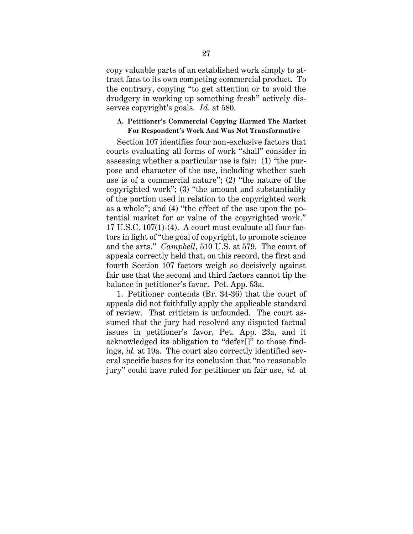copy valuable parts of an established work simply to attract fans to its own competing commercial product. To the contrary, copying "to get attention or to avoid the drudgery in working up something fresh" actively disserves copyright's goals. *Id.* at 580.

## **A. Petitioner's Commercial Copying Harmed The Market For Respondent's Work And Was Not Transformative**

Section 107 identifies four non-exclusive factors that courts evaluating all forms of work "shall" consider in assessing whether a particular use is fair: (1) "the purpose and character of the use, including whether such use is of a commercial nature"; (2) "the nature of the copyrighted work"; (3) "the amount and substantiality of the portion used in relation to the copyrighted work as a whole"; and (4) "the effect of the use upon the potential market for or value of the copyrighted work." 17 U.S.C. 107(1)-(4). A court must evaluate all four factors in light of "the goal of copyright, to promote science and the arts." *Campbell*, 510 U.S. at 579. The court of appeals correctly held that, on this record, the first and fourth Section 107 factors weigh so decisively against fair use that the second and third factors cannot tip the balance in petitioner's favor. Pet. App. 53a.

1. Petitioner contends (Br. 34-36) that the court of appeals did not faithfully apply the applicable standard of review. That criticism is unfounded. The court assumed that the jury had resolved any disputed factual issues in petitioner's favor, Pet. App. 23a, and it acknowledged its obligation to "defer[]" to those findings, *id.* at 19a. The court also correctly identified several specific bases for its conclusion that "no reasonable jury" could have ruled for petitioner on fair use, *id.* at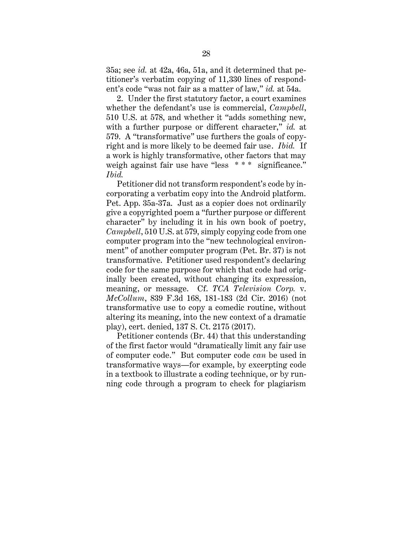35a; see *id.* at 42a, 46a, 51a, and it determined that petitioner's verbatim copying of 11,330 lines of respondent's code "was not fair as a matter of law," *id.* at 54a.

2. Under the first statutory factor, a court examines whether the defendant's use is commercial, *Campbell*, 510 U.S. at 578, and whether it "adds something new, with a further purpose or different character," *id.* at 579. A "transformative" use furthers the goals of copyright and is more likely to be deemed fair use. *Ibid.* If a work is highly transformative, other factors that may weigh against fair use have "less \*\*\* significance." *Ibid.*

Petitioner did not transform respondent's code by incorporating a verbatim copy into the Android platform. Pet. App. 35a-37a. Just as a copier does not ordinarily give a copyrighted poem a "further purpose or different character" by including it in his own book of poetry, *Campbell*, 510 U.S. at 579, simply copying code from one computer program into the "new technological environment" of another computer program (Pet. Br. 37) is not transformative. Petitioner used respondent's declaring code for the same purpose for which that code had originally been created, without changing its expression, meaning, or message. Cf. *TCA Television Corp.* v. *McCollum*, 839 F.3d 168, 181-183 (2d Cir. 2016) (not transformative use to copy a comedic routine, without altering its meaning, into the new context of a dramatic play), cert. denied, 137 S. Ct. 2175 (2017).

Petitioner contends (Br. 44) that this understanding of the first factor would "dramatically limit any fair use of computer code." But computer code *can* be used in transformative ways—for example, by excerpting code in a textbook to illustrate a coding technique, or by running code through a program to check for plagiarism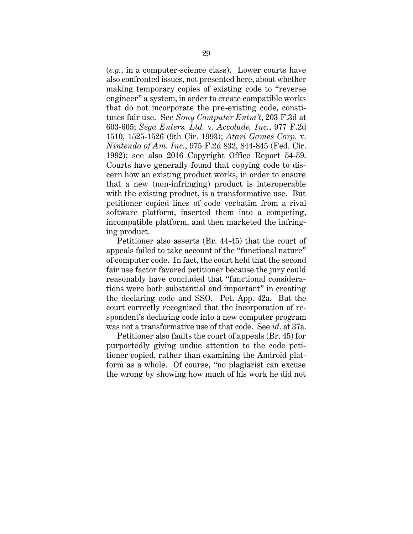(*e.g.*, in a computer-science class). Lower courts have also confronted issues, not presented here, about whether making temporary copies of existing code to "reverse engineer" a system, in order to create compatible works that do not incorporate the pre-existing code, constitutes fair use. See *Sony Computer Entm't*, 203 F.3d at 603-605; *Sega Enters. Ltd.* v. *Accolade, Inc.*, 977 F.2d 1510, 1525-1526 (9th Cir. 1993); *Atari Games Corp.* v. *Nintendo of Am. Inc.*, 975 F.2d 832, 844-845 (Fed. Cir. 1992); see also 2016 Copyright Office Report 54-59. Courts have generally found that copying code to discern how an existing product works, in order to ensure that a new (non-infringing) product is interoperable with the existing product, is a transformative use. But petitioner copied lines of code verbatim from a rival software platform, inserted them into a competing, incompatible platform, and then marketed the infringing product.

Petitioner also asserts (Br. 44-45) that the court of appeals failed to take account of the "functional nature" of computer code. In fact, the court held that the second fair use factor favored petitioner because the jury could reasonably have concluded that "functional considerations were both substantial and important" in creating the declaring code and SSO. Pet. App. 42a. But the court correctly recognized that the incorporation of respondent's declaring code into a new computer program was not a transformative use of that code. See *id*. at 37a.

Petitioner also faults the court of appeals (Br. 45) for purportedly giving undue attention to the code petitioner copied, rather than examining the Android platform as a whole. Of course, "no plagiarist can excuse the wrong by showing how much of his work he did not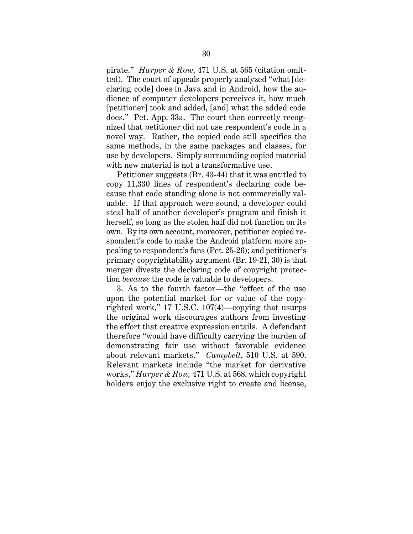pirate." *Harper & Row*, 471 U.S. at 565 (citation omitted). The court of appeals properly analyzed "what [declaring code] does in Java and in Android, how the audience of computer developers perceives it, how much [petitioner] took and added, [and] what the added code does." Pet. App. 33a. The court then correctly recognized that petitioner did not use respondent's code in a novel way. Rather, the copied code still specifies the same methods, in the same packages and classes, for use by developers. Simply surrounding copied material with new material is not a transformative use.

Petitioner suggests (Br. 43-44) that it was entitled to copy 11,330 lines of respondent's declaring code because that code standing alone is not commercially valuable. If that approach were sound, a developer could steal half of another developer's program and finish it herself, so long as the stolen half did not function on its own. By its own account, moreover, petitioner copied respondent's code to make the Android platform more appealing to respondent's fans (Pet. 25-26); and petitioner's primary copyrightability argument (Br. 19-21, 30) is that merger divests the declaring code of copyright protection *because* the code is valuable to developers.

3. As to the fourth factor—the "effect of the use upon the potential market for or value of the copyrighted work," 17 U.S.C. 107(4)—copying that usurps the original work discourages authors from investing the effort that creative expression entails. A defendant therefore "would have difficulty carrying the burden of demonstrating fair use without favorable evidence about relevant markets." *Campbell*, 510 U.S. at 590. Relevant markets include "the market for derivative works," *Harper & Row,* 471 U.S. at 568, which copyright holders enjoy the exclusive right to create and license,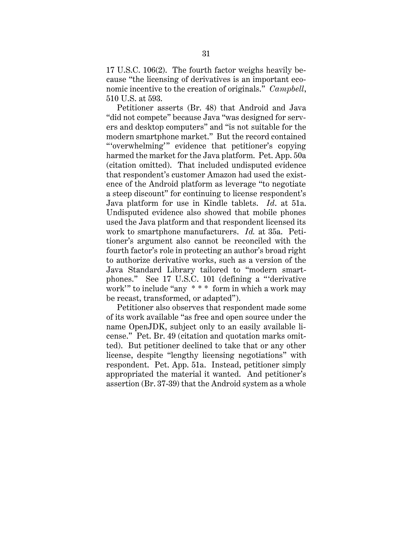17 U.S.C. 106(2). The fourth factor weighs heavily because "the licensing of derivatives is an important economic incentive to the creation of originals." *Campbell*, 510 U.S. at 593.

Petitioner asserts (Br. 48) that Android and Java "did not compete" because Java "was designed for servers and desktop computers" and "is not suitable for the modern smartphone market." But the record contained "'overwhelming'" evidence that petitioner's copying harmed the market for the Java platform. Pet. App. 50a (citation omitted). That included undisputed evidence that respondent's customer Amazon had used the existence of the Android platform as leverage "to negotiate a steep discount" for continuing to license respondent's Java platform for use in Kindle tablets. *Id*. at 51a. Undisputed evidence also showed that mobile phones used the Java platform and that respondent licensed its work to smartphone manufacturers. *Id.* at 35a. Petitioner's argument also cannot be reconciled with the fourth factor's role in protecting an author's broad right to authorize derivative works, such as a version of the Java Standard Library tailored to "modern smartphones." See 17 U.S.C. 101 (defining a " 'derivative work'" to include "any \* \* \* form in which a work may be recast, transformed, or adapted").

Petitioner also observes that respondent made some of its work available "as free and open source under the name OpenJDK, subject only to an easily available license." Pet. Br. 49 (citation and quotation marks omitted). But petitioner declined to take that or any other license, despite "lengthy licensing negotiations" with respondent. Pet. App. 51a. Instead, petitioner simply appropriated the material it wanted. And petitioner's assertion (Br. 37-39) that the Android system as a whole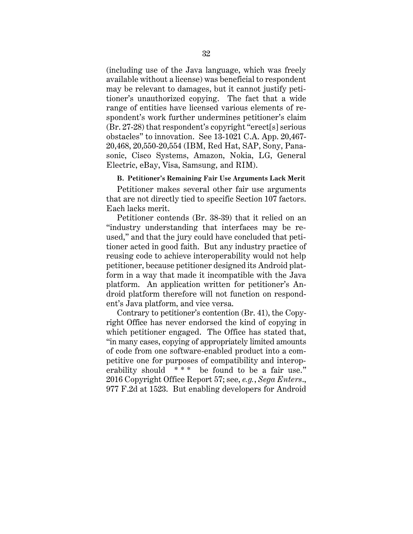(including use of the Java language, which was freely available without a license) was beneficial to respondent may be relevant to damages, but it cannot justify petitioner's unauthorized copying. The fact that a wide range of entities have licensed various elements of respondent's work further undermines petitioner's claim (Br. 27-28) that respondent's copyright "erect[s] serious obstacles" to innovation. See 13-1021 C.A. App. 20,467- 20,468, 20,550-20,554 (IBM, Red Hat, SAP, Sony, Panasonic, Cisco Systems, Amazon, Nokia, LG, General Electric, eBay, Visa, Samsung, and RIM).

#### **B. Petitioner's Remaining Fair Use Arguments Lack Merit**

Petitioner makes several other fair use arguments that are not directly tied to specific Section 107 factors. Each lacks merit.

Petitioner contends (Br. 38-39) that it relied on an "industry understanding that interfaces may be reused," and that the jury could have concluded that petitioner acted in good faith. But any industry practice of reusing code to achieve interoperability would not help petitioner, because petitioner designed its Android platform in a way that made it incompatible with the Java platform. An application written for petitioner's Android platform therefore will not function on respondent's Java platform, and vice versa.

Contrary to petitioner's contention (Br. 41), the Copyright Office has never endorsed the kind of copying in which petitioner engaged. The Office has stated that, "in many cases, copying of appropriately limited amounts of code from one software-enabled product into a competitive one for purposes of compatibility and interoperability should \*\*\* be found to be a fair use." 2016 Copyright Office Report 57; see, *e.g.*, *Sega Enters*., 977 F.2d at 1523. But enabling developers for Android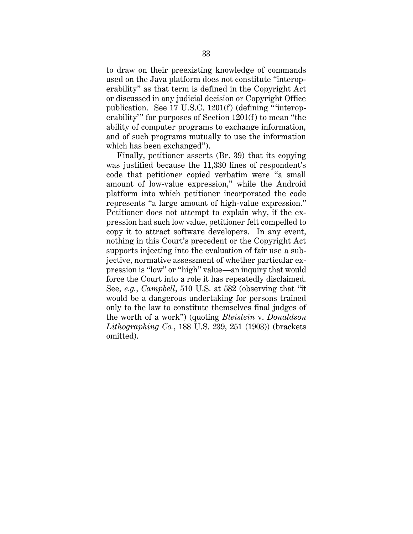to draw on their preexisting knowledge of commands used on the Java platform does not constitute "interoperability" as that term is defined in the Copyright Act or discussed in any judicial decision or Copyright Office publication. See 17 U.S.C. 1201(f) (defining "'interoperability'" for purposes of Section 1201(f) to mean "the ability of computer programs to exchange information, and of such programs mutually to use the information which has been exchanged").

Finally, petitioner asserts (Br. 39) that its copying was justified because the 11,330 lines of respondent's code that petitioner copied verbatim were "a small amount of low-value expression," while the Android platform into which petitioner incorporated the code represents "a large amount of high-value expression." Petitioner does not attempt to explain why, if the expression had such low value, petitioner felt compelled to copy it to attract software developers. In any event, nothing in this Court's precedent or the Copyright Act supports injecting into the evaluation of fair use a subjective, normative assessment of whether particular expression is "low" or "high" value—an inquiry that would force the Court into a role it has repeatedly disclaimed. See, *e.g.*, *Campbell*, 510 U.S. at 582 (observing that "it would be a dangerous undertaking for persons trained only to the law to constitute themselves final judges of the worth of a work") (quoting *Bleistein* v. *Donaldson Lithographing Co.*, 188 U.S. 239, 251 (1903)) (brackets omitted).